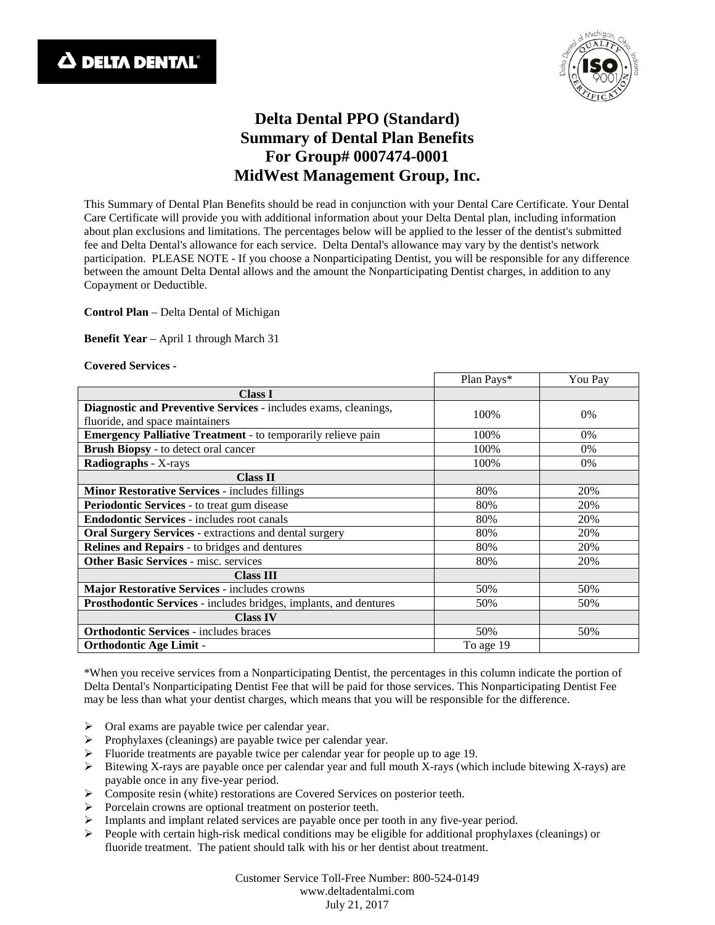



## **Delta Dental PPO (Standard) Summary of Dental Plan Benefits For Group# 0007474-0001 MidWest Management Group, Inc.**

This Summary of Dental Plan Benefits should be read in conjunction with your Dental Care Certificate. Your Dental Care Certificate will provide you with additional information about your Delta Dental plan, including information about plan exclusions and limitations. The percentages below will be applied to the lesser of the dentist's submitted fee and Delta Dental's allowance for each service. Delta Dental's allowance may vary by the dentist's network participation. PLEASE NOTE - If you choose a Nonparticipating Dentist, you will be responsible for any difference between the amount Delta Dental allows and the amount the Nonparticipating Dentist charges, in addition to any Copayment or Deductible.

**Control Plan** – Delta Dental of Michigan

**Benefit Year** – April 1 through March 31

## **Covered Services -**

|                                                                     | Plan Pays* | You Pay |
|---------------------------------------------------------------------|------------|---------|
| <b>Class I</b>                                                      |            |         |
| Diagnostic and Preventive Services - includes exams, cleanings,     | 100%       | $0\%$   |
| fluoride, and space maintainers                                     |            |         |
| <b>Emergency Palliative Treatment</b> - to temporarily relieve pain | 100%       | $0\%$   |
| Brush Biopsy - to detect oral cancer                                | 100%       | $0\%$   |
| Radiographs - X-rays                                                | 100%       | 0%      |
| <b>Class II</b>                                                     |            |         |
| <b>Minor Restorative Services - includes fillings</b>               | 80%        | 20%     |
| Periodontic Services - to treat gum disease                         | 80%        | 20%     |
| <b>Endodontic Services - includes root canals</b>                   | 80%        | 20%     |
| <b>Oral Surgery Services - extractions and dental surgery</b>       | 80%        | 20%     |
| <b>Relines and Repairs - to bridges and dentures</b>                | 80%        | 20%     |
| <b>Other Basic Services - misc. services</b>                        | 80%        | 20%     |
| <b>Class III</b>                                                    |            |         |
| Major Restorative Services - includes crowns                        | 50%        | 50%     |
| Prosthodontic Services - includes bridges, implants, and dentures   | 50%        | 50%     |
| <b>Class IV</b>                                                     |            |         |
| <b>Orthodontic Services - includes braces</b>                       | 50%        | 50%     |
| <b>Orthodontic Age Limit -</b>                                      | To age 19  |         |

\*When you receive services from a Nonparticipating Dentist, the percentages in this column indicate the portion of Delta Dental's Nonparticipating Dentist Fee that will be paid for those services. This Nonparticipating Dentist Fee may be less than what your dentist charges, which means that you will be responsible for the difference.

- $\triangleright$  Oral exams are payable twice per calendar year.
- $\triangleright$  Prophylaxes (cleanings) are payable twice per calendar year.
- $\triangleright$  Fluoride treatments are payable twice per calendar year for people up to age 19.
- $\triangleright$  Bitewing X-rays are payable once per calendar year and full mouth X-rays (which include bitewing X-rays) are payable once in any five-year period.
- Composite resin (white) restorations are Covered Services on posterior teeth.
- Porcelain crowns are optional treatment on posterior teeth.
- Implants and implant related services are payable once per tooth in any five-year period.
- $\triangleright$  People with certain high-risk medical conditions may be eligible for additional prophylaxes (cleanings) or fluoride treatment. The patient should talk with his or her dentist about treatment.